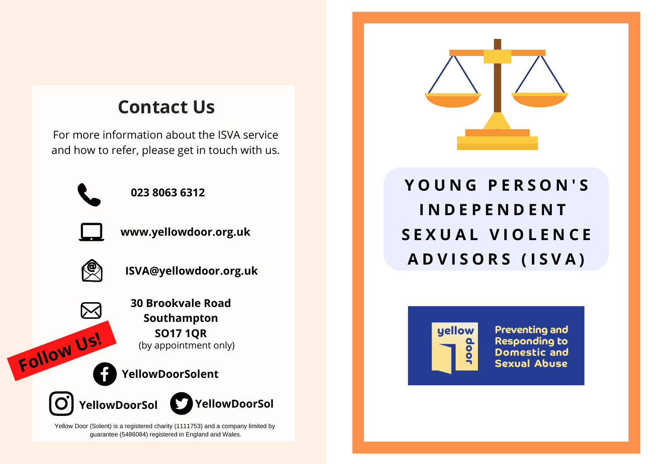## **Contact Us**

For more information about the ISVA service and how to refer, please get in touch with us.



**023 8063 6312**



**www.yellowdoor.org.uk**





**30 Brookvale Road Southampton SO17 1QR** (by appointment only)

**YellowDoorSolent Follow Us!**



**YellowDoorSol**

Yellow Door (Solent) is a registered charity (1111753) and a company limited by guarantee (5486084) registered in England and Wales.



# **Y O U N G P E R S O N ' S I N D E P E N D E N T S E X U A L V I O L E N C E A D V I S O R S ( I S V A )**



**Preventing and Responding to Domestic and Sexual Abuse**